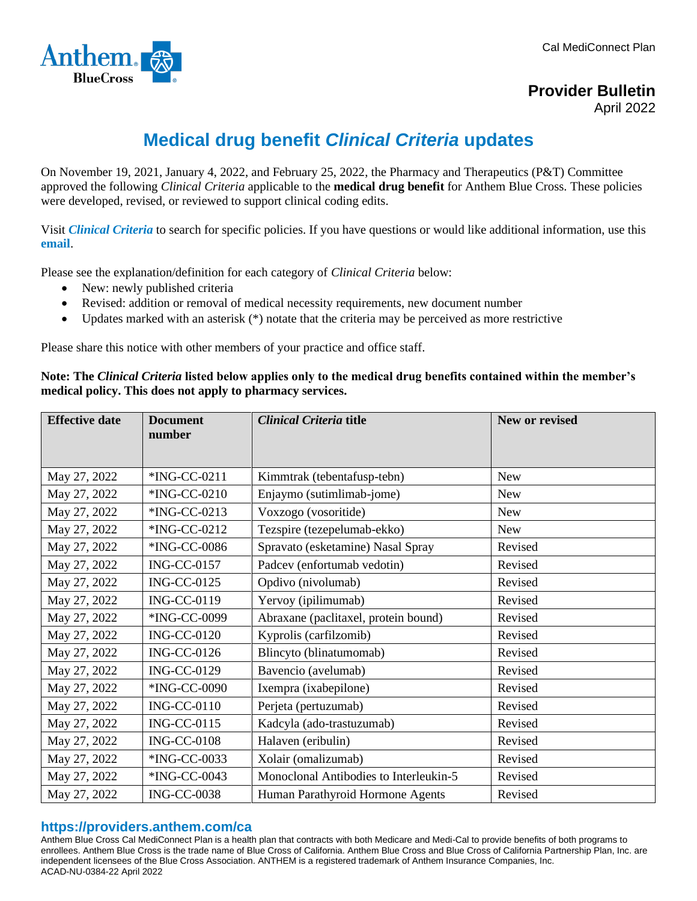

**Provider Bulletin**

April 2022

## **Medical drug benefit** *Clinical Criteria* **updates**

On November 19, 2021, January 4, 2022, and February 25, 2022, the Pharmacy and Therapeutics (P&T) Committee approved the following *Clinical Criteria* applicable to the **medical drug benefit** for Anthem Blue Cross. These policies were developed, revised, or reviewed to support clinical coding edits.

Visit *[Clinical Criteria](http://www.anthem.com/pharmacyinformation/clinicalcriteria)* to search for specific policies. If you have questions or would like additional information, use this **[email](mailto:druglist@ingenio-rx.com)**.

Please see the explanation/definition for each category of *Clinical Criteria* below:

- New: newly published criteria
- Revised: addition or removal of medical necessity requirements, new document number
- Updates marked with an asterisk (\*) notate that the criteria may be perceived as more restrictive

Please share this notice with other members of your practice and office staff.

**Note: The** *Clinical Criteria* **listed below applies only to the medical drug benefits contained within the member's medical policy. This does not apply to pharmacy services.**

| <b>Effective date</b> | <b>Document</b><br>number | <b>Clinical Criteria title</b>         | New or revised |
|-----------------------|---------------------------|----------------------------------------|----------------|
|                       |                           |                                        |                |
| May 27, 2022          | *ING-CC-0211              | Kimmtrak (tebentafusp-tebn)            | <b>New</b>     |
| May 27, 2022          | *ING-CC-0210              | Enjaymo (sutimlimab-jome)              | New            |
| May 27, 2022          | *ING-CC-0213              | Voxzogo (vosoritide)                   | <b>New</b>     |
| May 27, 2022          | *ING-CC-0212              | Tezspire (tezepelumab-ekko)            | <b>New</b>     |
| May 27, 2022          | *ING-CC-0086              | Spravato (esketamine) Nasal Spray      | Revised        |
| May 27, 2022          | <b>ING-CC-0157</b>        | Padcev (enfortumab vedotin)            | Revised        |
| May 27, 2022          | <b>ING-CC-0125</b>        | Opdivo (nivolumab)                     | Revised        |
| May 27, 2022          | <b>ING-CC-0119</b>        | Yervoy (ipilimumab)                    | Revised        |
| May 27, 2022          | *ING-CC-0099              | Abraxane (paclitaxel, protein bound)   | Revised        |
| May 27, 2022          | <b>ING-CC-0120</b>        | Kyprolis (carfilzomib)                 | Revised        |
| May 27, 2022          | <b>ING-CC-0126</b>        | Blincyto (blinatumomab)                | Revised        |
| May 27, 2022          | <b>ING-CC-0129</b>        | Bavencio (avelumab)                    | Revised        |
| May 27, 2022          | *ING-CC-0090              | Ixempra (ixabepilone)                  | Revised        |
| May 27, 2022          | <b>ING-CC-0110</b>        | Perjeta (pertuzumab)                   | Revised        |
| May 27, 2022          | <b>ING-CC-0115</b>        | Kadcyla (ado-trastuzumab)              | Revised        |
| May 27, 2022          | <b>ING-CC-0108</b>        | Halaven (eribulin)                     | Revised        |
| May 27, 2022          | *ING-CC-0033              | Xolair (omalizumab)                    | Revised        |
| May 27, 2022          | *ING-CC-0043              | Monoclonal Antibodies to Interleukin-5 | Revised        |
| May 27, 2022          | <b>ING-CC-0038</b>        | Human Parathyroid Hormone Agents       | Revised        |

## **https://providers.anthem.com/ca**

Anthem Blue Cross Cal MediConnect Plan is a health plan that contracts with both Medicare and Medi-Cal to provide benefits of both programs to enrollees. Anthem Blue Cross is the trade name of Blue Cross of California. Anthem Blue Cross and Blue Cross of California Partnership Plan, Inc. are independent licensees of the Blue Cross Association. ANTHEM is a registered trademark of Anthem Insurance Companies, Inc. ACAD-NU-0384-22 April 2022